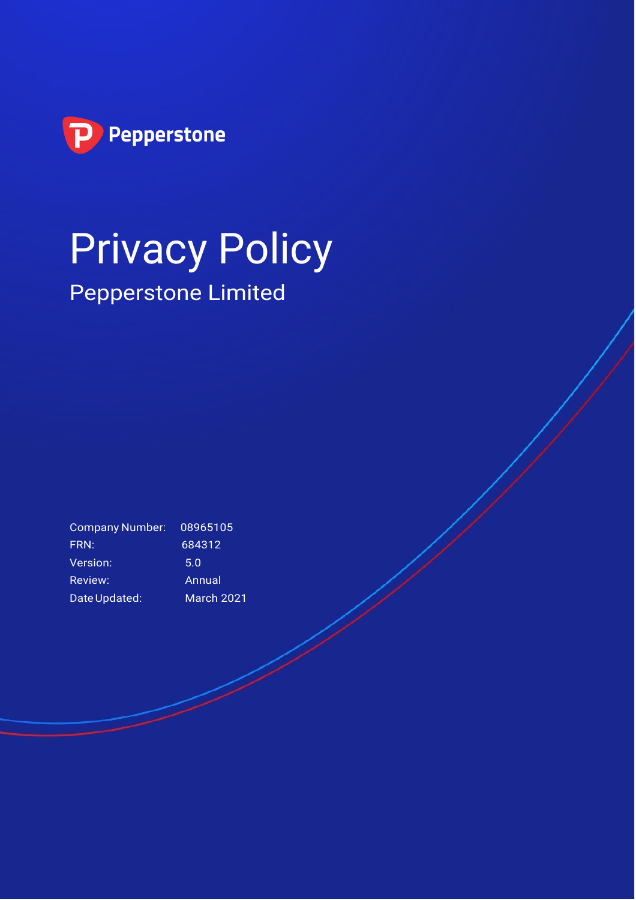

# Privacy Policy Pepperstone Limited

Company Number: 08965105 FRN: 684312 Version: 5.0 Review: Annual DateUpdated: March 2021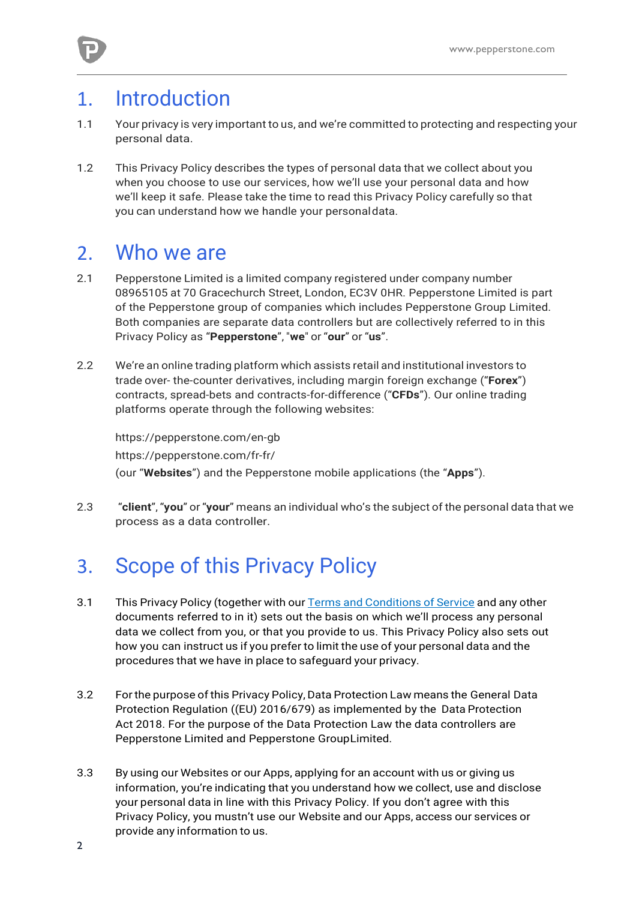#### 1. Introduction

- 1.1 Your privacy is very important to us, and we're committed to protecting and respecting your personal data.
- 1.2 This Privacy Policy describes the types of personal data that we collect about you when you choose to use our services, how we'll use your personal data and how we'll keep it safe. Please take the time to read this Privacy Policy carefully so that you can understand how we handle your personaldata.

#### 2. Who we are

- 2.1 Pepperstone Limited is a limited company registered under company number 08965105 at 70 Gracechurch Street, London, EC3V 0HR. Pepperstone Limited is part of the Pepperstone group of companies which includes Pepperstone Group Limited. Both companies are separate data controllers but are collectively referred to in this Privacy Policy as "**Pepperstone**", "**we**" or "**our**" or "**us**".
- 2.2 We're an online trading platform which assists retail and institutional investors to trade over- the-counter derivatives, including margin foreign exchange ("**Forex**") contracts, spread-bets and contracts-for-difference ("**CFDs**"). Our online trading platforms operate through the following websites:

https://pepperstone.com/en-gb https://pepperstone.com/fr-fr/ (our "**Websites**") and the Pepperstone mobile applications (the "**Apps**").

2.3 "**client**", "**you**" or "**your**" means an individual who's the subject of the personal data that we process as a data controller.

# 3. Scope of this Privacy Policy

- 3.1 This Privacy Policy (together with our Terms and [Conditions](https://files.pepperstone.com/legal/UK_EU/UK_Ts_and_Cs.pdf) of Service and any other documents referred to in it) sets out the basis on which we'll process any personal data we collect from you, or that you provide to us. This Privacy Policy also sets out how you can instruct us if you prefer to limit the use of your personal data and the procedures that we have in place to safeguard your privacy.
- 3.2 For the purpose of this Privacy Policy, Data Protection Law means the General Data Protection Regulation ((EU) 2016/679) as implemented by the Data Protection Act 2018. For the purpose of the Data Protection Law the data controllers are Pepperstone Limited and Pepperstone GroupLimited.
- 3.3 By using our Websites or our Apps, applying for an account with us or giving us information, you're indicating that you understand how we collect, use and disclose your personal data in line with this Privacy Policy. If you don't agree with this Privacy Policy, you mustn't use our Website and our Apps, access our services or provide any information to us.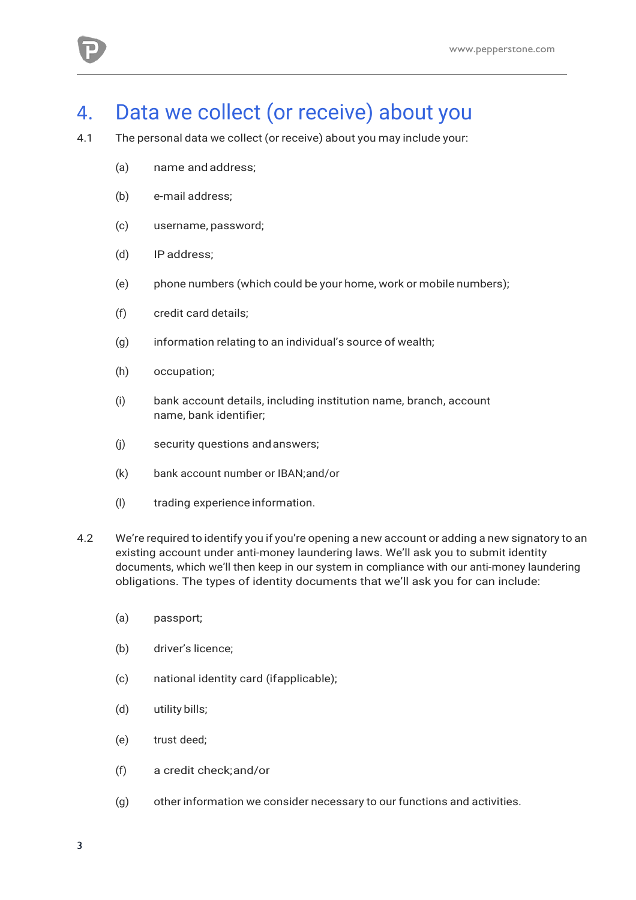

#### 4. Data we collect (or receive) about you

- 4.1 The personal data we collect (or receive) about you may include your:
	- (a) name andaddress;
	- (b) e-mail address;
	- (c) username, password;
	- (d) IP address;
	- (e) phone numbers (which could be your home, work or mobile numbers);
	- (f) credit card details;
	- (g) information relating to an individual's source of wealth;
	- (h) occupation;
	- (i) bank account details, including institution name, branch, account name, bank identifier;
	- (j) security questions andanswers;
	- (k) bank account number or IBAN;and/or
	- (l) trading experience information.
- 4.2 We're required to identify you if you're opening a new account or adding a new signatory to an existing account under anti-money laundering laws. We'll ask you to submit identity documents, which we'll then keep in our system in compliance with our anti-money laundering obligations. The types of identity documents that we'll ask you for can include:
	- (a) passport;
	- (b) driver's licence;
	- (c) national identity card (ifapplicable);
	- (d) utility bills;
	- (e) trust deed;
	- (f) a credit check;and/or
	- (g) other information we consider necessary to our functions and activities.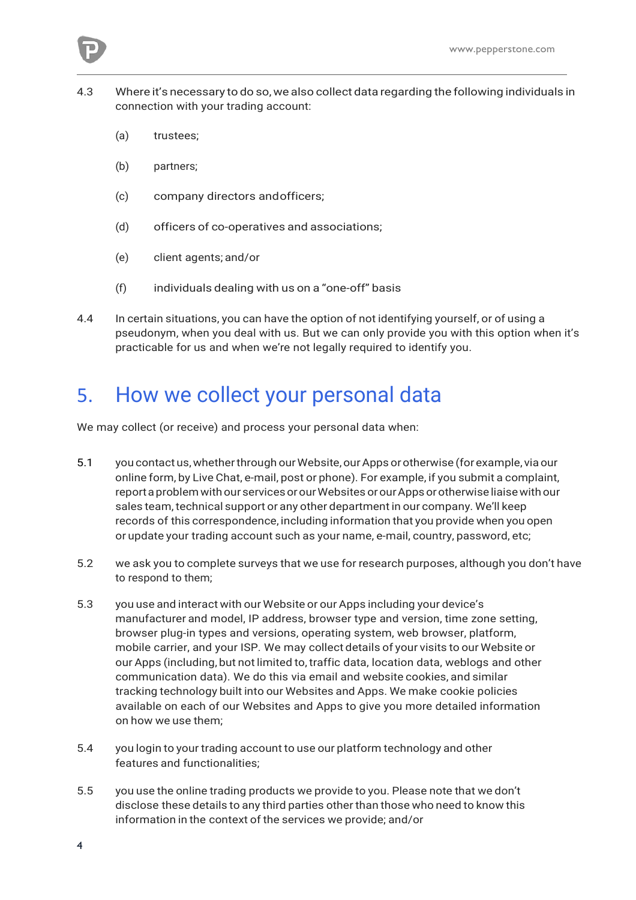- 4.3 Where it's necessary to do so,we also collect data regarding the following individuals in connection with your trading account:
	- (a) trustees;
	- (b) partners;
	- (c) company directors andofficers;
	- (d) officers of co-operatives and associations;
	- (e) client agents; and/or
	- (f) individuals dealing with us on a "one-off" basis
- 4.4 In certain situations, you can have the option of not identifying yourself, or of using a pseudonym, when you deal with us. But we can only provide you with this option when it's practicable for us and when we're not legally required to identify you.

#### 5. How we collect your personal data

We may collect (or receive) and process your personal data when:

- 5.1 you contact us, whether through our Website, our Apps or otherwise (for example, via our online form, by Live Chat, e-mail, post or phone). For example, if you submit a complaint, report a problem with our services or our Websites or our Apps or otherwise liaise with our sales team, technical support or any other department in our company. We'll keep records of this correspondence, including information that you provide when you open or update your trading account such as your name, e-mail, country, password, etc;
- 5.2 we ask you to complete surveys that we use for research purposes, although you don't have to respond to them;
- 5.3 you use and interact with our Website or our Apps including your device's manufacturer and model, IP address, browser type and version, time zone setting, browser plug-in types and versions, operating system, web browser, platform, mobile carrier, and your ISP. We may collect details of your visits to our Website or our Apps (including, but not limited to, traffic data, location data, weblogs and other communication data). We do this via email and website cookies, and similar tracking technology built into our Websites and Apps. We make cookie policies available on each of our Websites and Apps to give you more detailed information on how we use them;
- 5.4 you login to your trading account to use our platform technology and other features and functionalities;
- 5.5 you use the online trading products we provide to you. Please note that we don't disclose these details to any third parties other than those who need to know this information in the context of the services we provide; and/or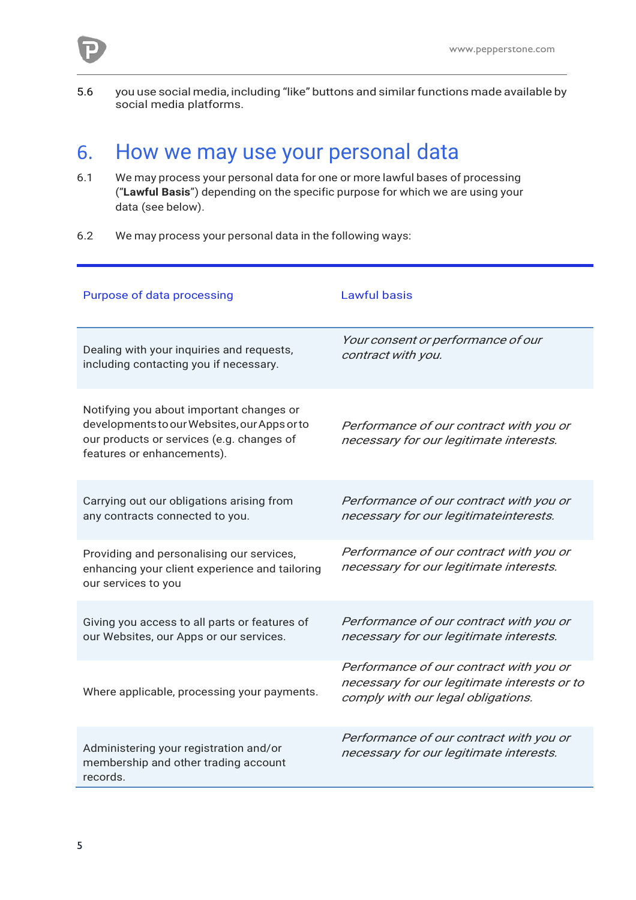

5.6 you use social media, including "like" buttons and similarfunctions made available by social media platforms.

#### 6. How we may use your personal data

- 6.1 We may process your personal data for one or more lawful bases of processing ("**Lawful Basis**") depending on the specific purpose for which we are using your data (see below).
- 6.2 We may process your personal data in the following ways:

| Purpose of data processing                                                                                                                                          | <b>Lawful basis</b>                                                                                                           |
|---------------------------------------------------------------------------------------------------------------------------------------------------------------------|-------------------------------------------------------------------------------------------------------------------------------|
| Dealing with your inquiries and requests,<br>including contacting you if necessary.                                                                                 | Your consent or performance of our<br>contract with you.                                                                      |
| Notifying you about important changes or<br>developments to our Websites, our Apps or to<br>our products or services (e.g. changes of<br>features or enhancements). | Performance of our contract with you or<br>necessary for our legitimate interests.                                            |
| Carrying out our obligations arising from<br>any contracts connected to you.                                                                                        | Performance of our contract with you or<br>necessary for our legitimateinterests.                                             |
| Providing and personalising our services,<br>enhancing your client experience and tailoring<br>our services to you                                                  | Performance of our contract with you or<br>necessary for our legitimate interests.                                            |
| Giving you access to all parts or features of<br>our Websites, our Apps or our services.                                                                            | Performance of our contract with you or<br>necessary for our legitimate interests.                                            |
| Where applicable, processing your payments.                                                                                                                         | Performance of our contract with you or<br>necessary for our legitimate interests or to<br>comply with our legal obligations. |
| Administering your registration and/or<br>membership and other trading account<br>records.                                                                          | Performance of our contract with you or<br>necessary for our legitimate interests.                                            |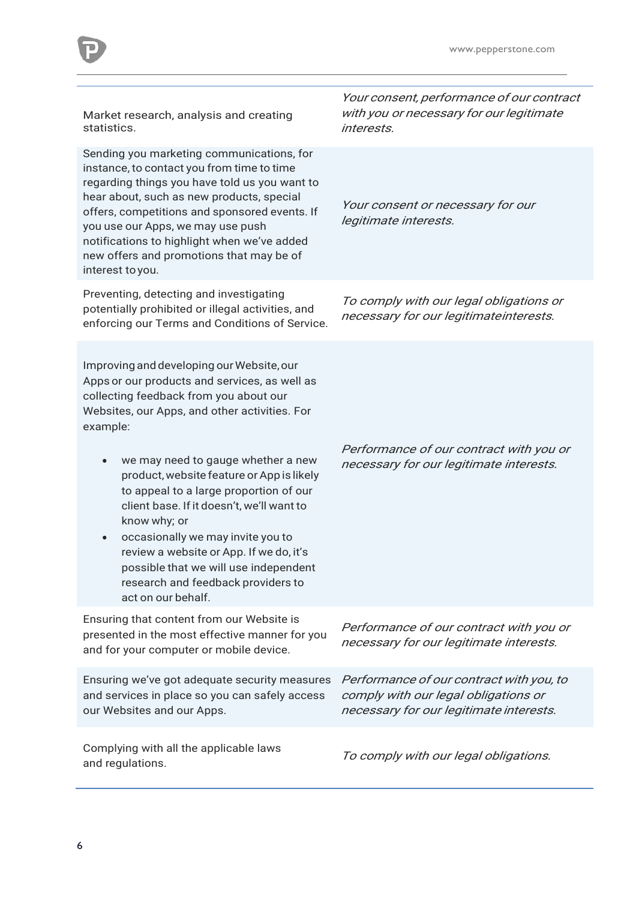| Market research, analysis and creating<br>statistics.                                                                                                                                                                                                                                                                                                                                                                                                      | Your consent, performance of our contract<br>with you or necessary for our legitimate<br>interests.                         |
|------------------------------------------------------------------------------------------------------------------------------------------------------------------------------------------------------------------------------------------------------------------------------------------------------------------------------------------------------------------------------------------------------------------------------------------------------------|-----------------------------------------------------------------------------------------------------------------------------|
| Sending you marketing communications, for<br>instance, to contact you from time to time<br>regarding things you have told us you want to<br>hear about, such as new products, special<br>offers, competitions and sponsored events. If<br>you use our Apps, we may use push<br>notifications to highlight when we've added<br>new offers and promotions that may be of<br>interest to you.                                                                 | Your consent or necessary for our<br>legitimate interests.                                                                  |
| Preventing, detecting and investigating<br>potentially prohibited or illegal activities, and<br>enforcing our Terms and Conditions of Service.                                                                                                                                                                                                                                                                                                             | To comply with our legal obligations or<br>necessary for our legitimateinterests.                                           |
| Improving and developing our Website, our<br>Apps or our products and services, as well as<br>collecting feedback from you about our<br>Websites, our Apps, and other activities. For<br>example:<br>we may need to gauge whether a new<br>$\bullet$<br>product, website feature or App is likely<br>to appeal to a large proportion of our<br>client base. If it doesn't, we'll want to<br>know why; or<br>occasionally we may invite you to<br>$\bullet$ | Performance of our contract with you or<br>necessary for our legitimate interests.                                          |
| review a website or App. If we do, it's<br>possible that we will use independent<br>research and feedback providers to<br>act on our behalf.                                                                                                                                                                                                                                                                                                               |                                                                                                                             |
| Ensuring that content from our Website is<br>presented in the most effective manner for you<br>and for your computer or mobile device.                                                                                                                                                                                                                                                                                                                     | Performance of our contract with you or<br>necessary for our legitimate interests.                                          |
| Ensuring we've got adequate security measures<br>and services in place so you can safely access<br>our Websites and our Apps.                                                                                                                                                                                                                                                                                                                              | Performance of our contract with you, to<br>comply with our legal obligations or<br>necessary for our legitimate interests. |

D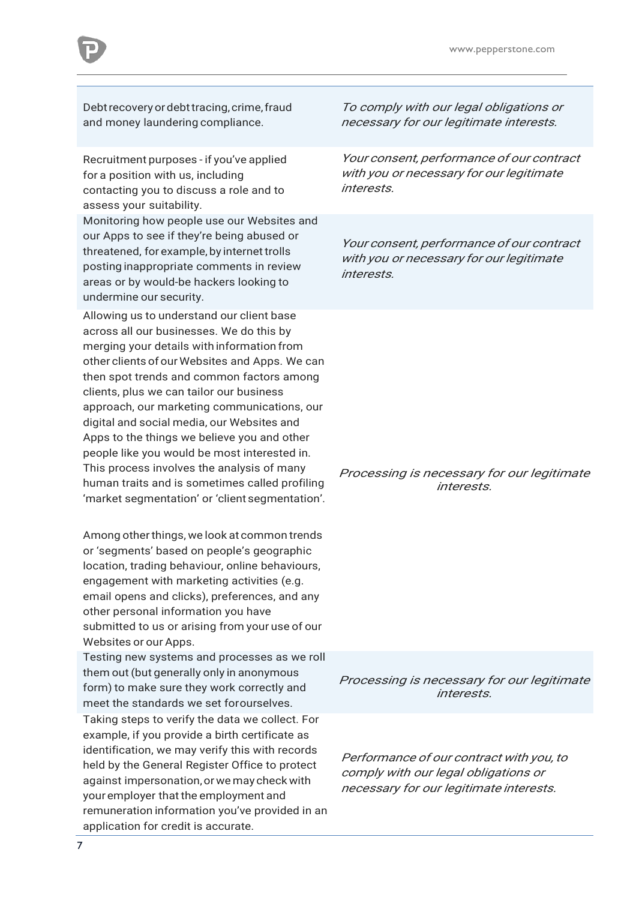Debt recovery or debt tracing, crime, fraud and money laundering compliance.

Recruitment purposes - if you've applied for a position with us, including contacting you to discuss a role and to assess your suitability.

Monitoring how people use our Websites and our Apps to see if they're being abused or threatened, for example, by internet trolls posting inappropriate comments in review areas or by would-be hackers looking to undermine our security.

Allowing us to understand our client base across all our businesses. We do this by merging your details with information from other clients of our Websites and Apps. We can then spot trends and common factors among clients, plus we can tailor our business approach, our marketing communications, our digital and social media, our Websites and Apps to the things we believe you and other people like you would be most interested in. This process involves the analysis of many human traits and is sometimes called profiling 'market segmentation' or 'client segmentation'.

Among other things, we look at common trends or 'segments' based on people's geographic location, trading behaviour, online behaviours, engagement with marketing activities (e.g. email opens and clicks), preferences, and any other personal information you have submitted to us or arising from your use of our Websites or our Apps.

Testing new systems and processes as we roll them out (but generally only in anonymous form) to make sure they work correctly and meet the standards we set forourselves. Taking steps to verify the data we collect. For example, if you provide a birth certificate as identification, we may verify this with records held by the General Register Office to protect against impersonation,orwe may check with your employer that the employment and

remuneration information you've provided in an

application for credit is accurate.

To comply with our legal obligations or necessary for our legitimate interests.

Your consent, performance of our contract with you or necessary for our legitimate interests.

Your consent, performance of our contract with you or necessary for our legitimate interests.

Processing is necessary for our legitimate interests.

Processing is necessary for our legitimate interests.

Performance of our contract with you, to comply with our legal obligations or necessary for our legitimate interests.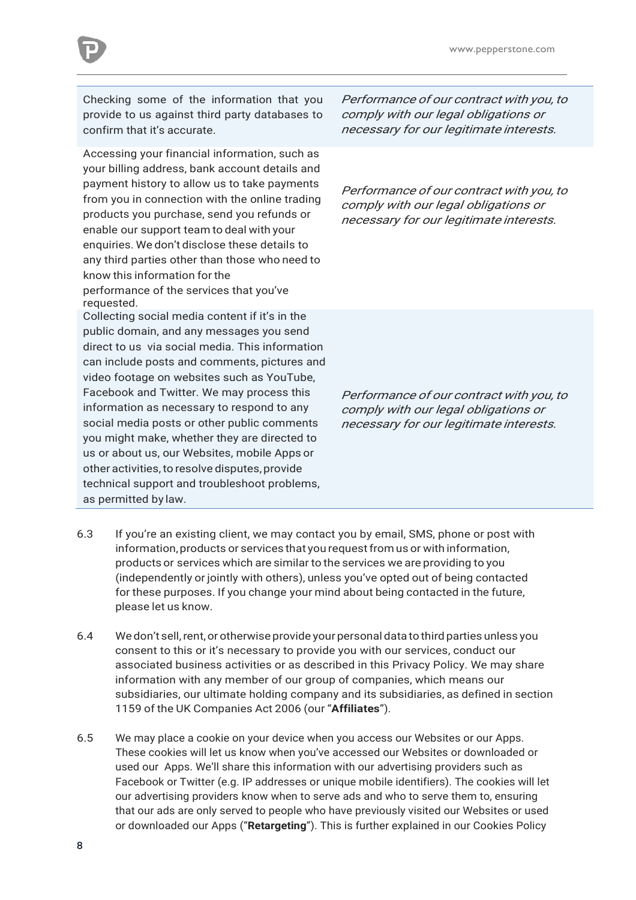

Checking some of the information that you provide to us against third party databases to confirm that it's accurate.

Accessing your financial information, such as your billing address, bank account details and payment history to allow us to take payments from you in connection with the online trading products you purchase, send you refunds or enable our support team to deal with your enquiries. We don't disclose these details to any third parties other than those who need to know this information for the performance of the services that you've requested. Collecting social media content if it's in the

public domain, and any messages you send direct to us via social media. This information can include posts and comments, pictures and video footage on websites such as YouTube, Facebook and Twitter. We may process this information as necessary to respond to any social media posts or other public comments you might make, whether they are directed to us or about us, our Websites, mobile Apps or other activities,to resolve disputes, provide technical support and troubleshoot problems, as permitted by law.

Performance of our contract with you, to comply with our legal obligations or necessary for our legitimate interests.

Performance of our contract with you, to comply with our legal obligations or necessary for our legitimate interests.

Performance of our contract with you, to comply with our legal obligations or necessary for our legitimate interests.

- 6.3 If you're an existing client, we may contact you by email, SMS, phone or post with information, products or services that you request from us or with information, products or services which are similar to the services we are providing to you (independently or jointly with others), unless you've opted out of being contacted for these purposes. If you change your mind about being contacted in the future, please let us know.
- 6.4 We don't sell,rent,or otherwise provide yourpersonal data to third parties unless you consent to this or it's necessary to provide you with our services, conduct our associated business activities or as described in this Privacy Policy. We may share information with any member of our group of companies, which means our subsidiaries, our ultimate holding company and its subsidiaries, as defined in section 1159 of the UK Companies Act 2006 (our "**Affiliates**").
- 6.5 We may place a cookie on your device when you access our Websites or our Apps. These cookies will let us know when you've accessed our Websites or downloaded or used our Apps. We'll share this information with our advertising providers such as Facebook or Twitter (e.g. IP addresses or unique mobile identifiers). The cookies will let our advertising providers know when to serve ads and who to serve them to, ensuring that our ads are only served to people who have previously visited our Websites or used or downloaded our Apps ("**Retargeting**"). This is further explained in our Cookies Policy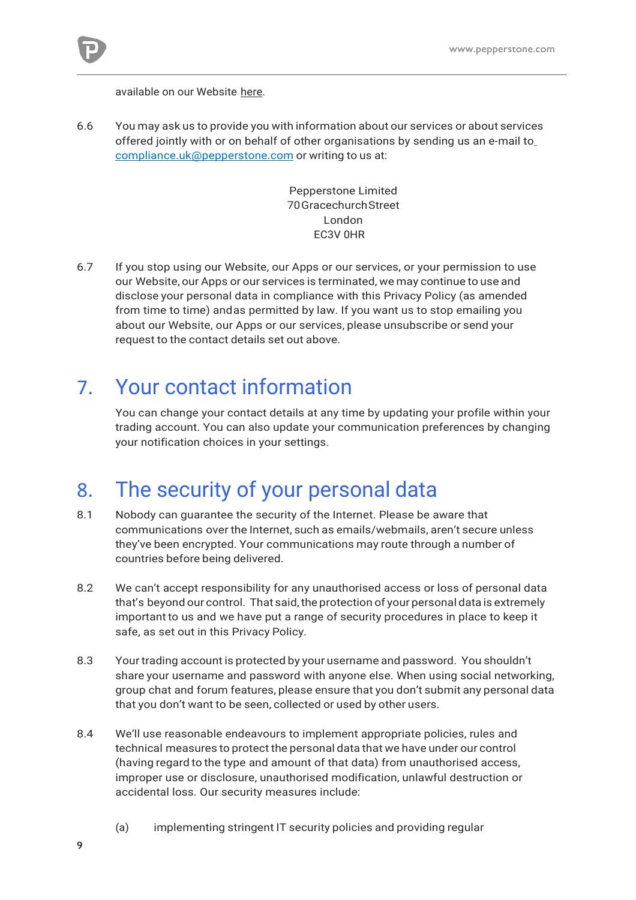

available on our Website [here.](https://pepperstone.com/uk/company-profile/legal-documentation)

6.6 You may ask us to provide you with information about our services or about services offered jointly with or on behalf of other organisations by sending us an e-mail t[o](mailto:compliance.uk@pepperstone.com) [compliance.uk@pepperstone.com](mailto:compliance.uk@pepperstone.com) or writing to us at:

> Pepperstone Limited 70GracechurchStreet London EC3V 0HR

6.7 If you stop using our Website, our Apps or our services, or your permission to use our Website, our Apps or our services is terminated, we may continue to use and disclose your personal data in compliance with this Privacy Policy (as amended from time to time) andas permitted by law. If you want us to stop emailing you about our Website, our Apps or our services, please unsubscribe or send your request to the contact details set out above.

#### 7. Your contact information

You can change your contact details at any time by updating your profile within your trading account. You can also update your communication preferences by changing your notification choices in your settings.

#### 8. The security of your personal data

- 8.1 Nobody can guarantee the security of the Internet. Please be aware that communications over the Internet, such as emails/webmails, aren't secure unless they've been encrypted. Your communications may route through a number of countries before being delivered.
- 8.2 We can't accept responsibility for any unauthorised access or loss of personal data that's beyond our control. That said, the protection of your personal data is extremely importantto us and we have put a range of security procedures in place to keep it safe, as set out in this Privacy Policy.
- 8.3 Your trading account is protected by your username and password. You shouldn't share your username and password with anyone else. When using social networking, group chat and forum features, please ensure that you don't submit any personal data that you don't want to be seen, collected or used by other users.
- 8.4 We'll use reasonable endeavours to implement appropriate policies, rules and technical measures to protect the personal data that we have under our control (having regard to the type and amount of that data) from unauthorised access, improper use or disclosure, unauthorised modification, unlawful destruction or accidental loss. Our security measures include:
	- (a) implementing stringent IT security policies and providing regular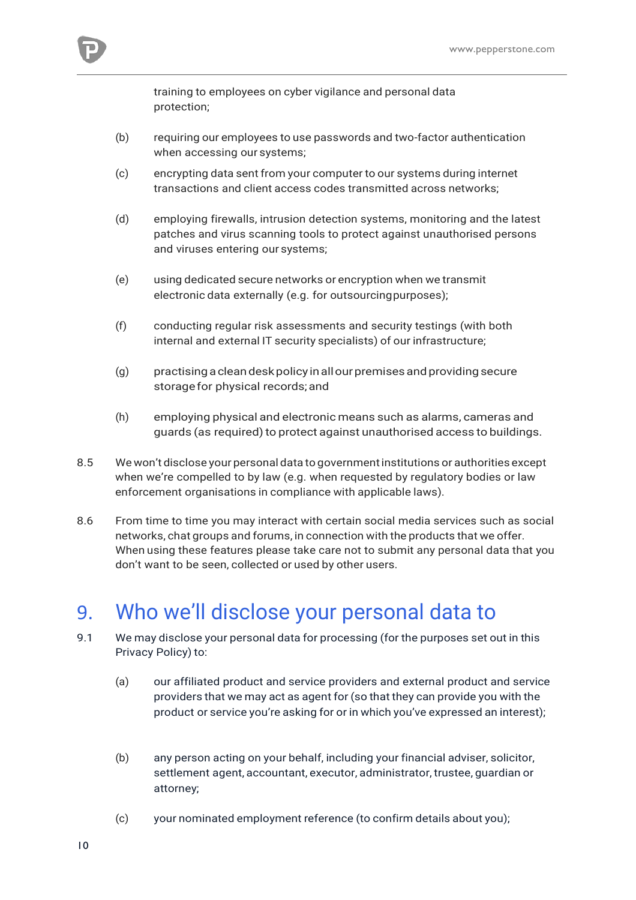

training to employees on cyber vigilance and personal data protection;

- (b) requiring our employees to use passwords and two-factor authentication when accessing our systems;
- (c) encrypting data sent from your computer to our systems during internet transactions and client access codes transmitted across networks;
- (d) employing firewalls, intrusion detection systems, monitoring and the latest patches and virus scanning tools to protect against unauthorised persons and viruses entering our systems;
- (e) using dedicated secure networks or encryption when we transmit electronic data externally (e.g. for outsourcingpurposes);
- (f) conducting regular risk assessments and security testings (with both internal and external IT security specialists) of our infrastructure;
- (g) practisingacleandeskpolicy inallourpremisesandprovidingsecure storage for physical records; and
- (h) employing physical and electronic means such as alarms, cameras and guards (as required) to protect against unauthorised access to buildings.
- 8.5 We won't disclose your personal data to governmentinstitutions or authorities except when we're compelled to by law (e.g. when requested by regulatory bodies or law enforcement organisations in compliance with applicable laws).
- 8.6 From time to time you may interact with certain social media services such as social networks, chat groups and forums, in connection with the products that we offer. When using these features please take care not to submit any personal data that you don't want to be seen, collected or used by other users.

# 9. Who we'll disclose your personal data to

- 9.1 We may disclose your personal data for processing (for the purposes set out in this Privacy Policy) to:
	- (a) our affiliated product and service providers and external product and service providers that we may act as agent for (so that they can provide you with the product or service you're asking for or in which you've expressed an interest);
	- (b) any person acting on your behalf, including your financial adviser, solicitor, settlement agent, accountant, executor, administrator, trustee, guardian or attorney;
	- (c) your nominated employment reference (to confirm details about you);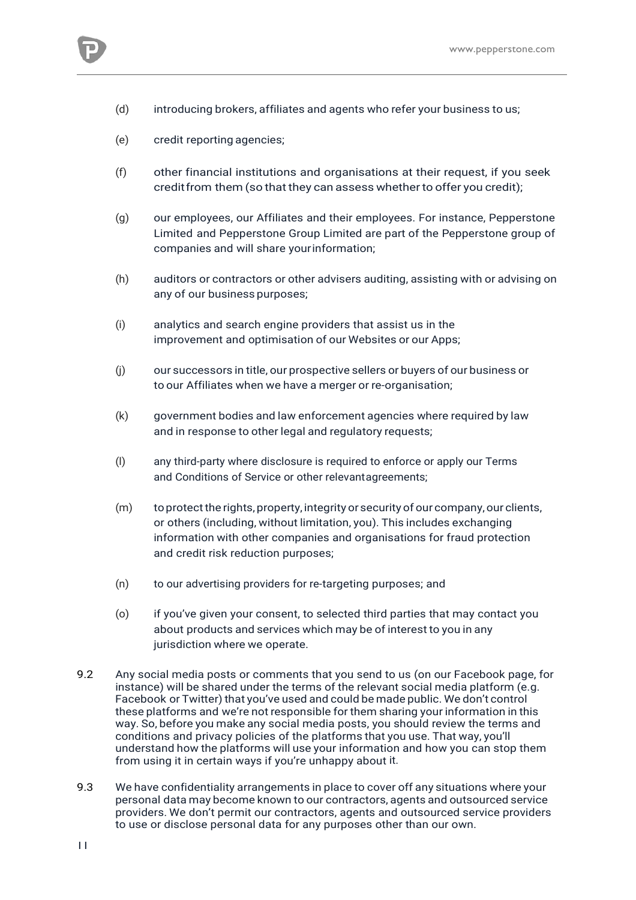

- (d) introducing brokers, affiliates and agents who refer your business to us;
- (e) credit reporting agencies;
- (f) other financial institutions and organisations at their request, if you seek credit from them (so that they can assess whether to offer you credit);
- (g) our employees, our Affiliates and their employees. For instance, Pepperstone Limited and Pepperstone Group Limited are part of the Pepperstone group of companies and will share yourinformation;
- (h) auditors or contractors or other advisers auditing, assisting with or advising on any of our business purposes;
- (i) analytics and search engine providers that assist us in the improvement and optimisation of our Websites or our Apps;
- (j) our successors in title, our prospective sellers or buyers of our business or to our Affiliates when we have a merger or re-organisation;
- (k) government bodies and law enforcement agencies where required by law and in response to other legal and regulatory requests;
- (l) any third-party where disclosure is required to enforce or apply our Terms and Conditions of Service or other relevantagreements;
- (m) toprotectthe rights,property, integrity or security of our company, our clients, or others (including, without limitation, you). This includes exchanging information with other companies and organisations for fraud protection and credit risk reduction purposes;
- (n) to our advertising providers for re-targeting purposes; and
- (o) if you've given your consent, to selected third parties that may contact you about products and services which may be of interest to you in any jurisdiction where we operate.
- 9.2 Any social media posts or comments that you send to us (on our Facebook page, for instance) will be shared under the terms of the relevant social media platform (e.g. Facebook or Twitter) that you've used and could be made public. We don't control these platforms and we're not responsible for them sharing your information in this way. So, before you make any social media posts, you should review the terms and conditions and privacy policies of the platforms that you use. That way, you'll understand how the platforms will use your information and how you can stop them from using it in certain ways if you're unhappy about it.
- 9.3 We have confidentiality arrangements in place to cover off any situations where your personal data may become known to our contractors, agents and outsourced service providers. We don't permit our contractors, agents and outsourced service providers to use or disclose personal data for any purposes other than our own.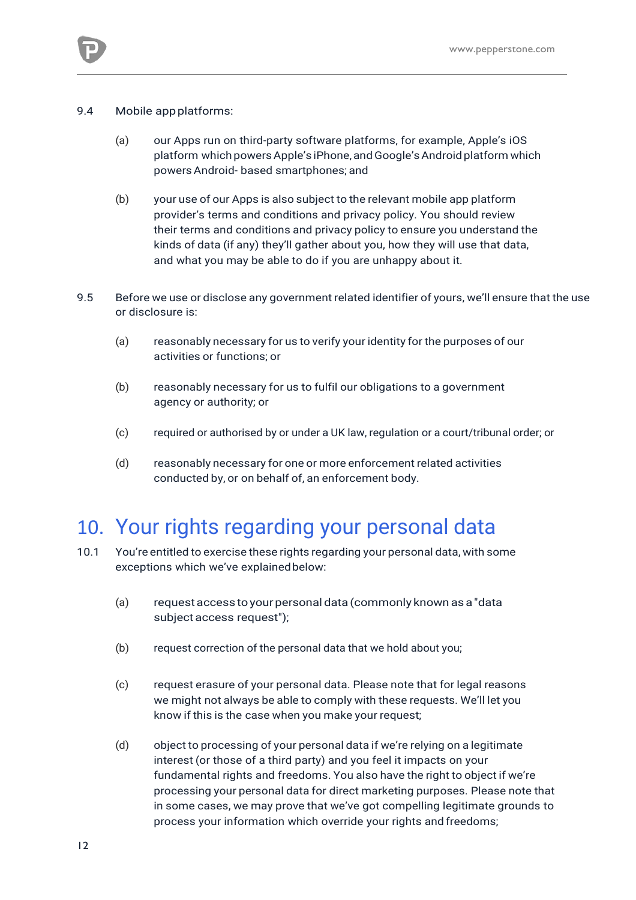

- 9.4 Mobile app platforms:
	- (a) our Apps run on third-party software platforms, for example, Apple's iOS platform which powers Apple's iPhone, and Google's Android platform which powersAndroid- based smartphones; and
	- (b) your use of our Apps is also subject to the relevant mobile app platform provider's terms and conditions and privacy policy. You should review their terms and conditions and privacy policy to ensure you understand the kinds of data (if any) they'll gather about you, how they will use that data, and what you may be able to do if you are unhappy about it.
- 9.5 Before we use or disclose any government related identifier of yours, we'll ensure that the use or disclosure is:
	- (a) reasonably necessary for us to verify your identity for the purposes of our activities or functions; or
	- (b) reasonably necessary for us to fulfil our obligations to a government agency or authority; or
	- (c) required or authorised by or under a UK law, regulation or a court/tribunal order; or
	- (d) reasonably necessary for one or more enforcement related activities conducted by, or on behalf of, an enforcement body.

#### 10. Your rights regarding your personal data

- 10.1 You're entitled to exercise these rights regarding your personal data, with some exceptions which we've explainedbelow:
	- (a) requestaccess toyourpersonal data (commonly known as a "data subject access request");
	- (b) request correction of the personal data that we hold about you;
	- (c) request erasure of your personal data. Please note that for legal reasons we might not always be able to comply with these requests. We'll let you know if this is the case when you make your request;
	- (d) object to processing of your personal data if we're relying on a legitimate interest (or those of a third party) and you feel it impacts on your fundamental rights and freedoms. You also have the right to object if we're processing your personal data for direct marketing purposes. Please note that in some cases, we may prove that we've got compelling legitimate grounds to process your information which override your rights and freedoms;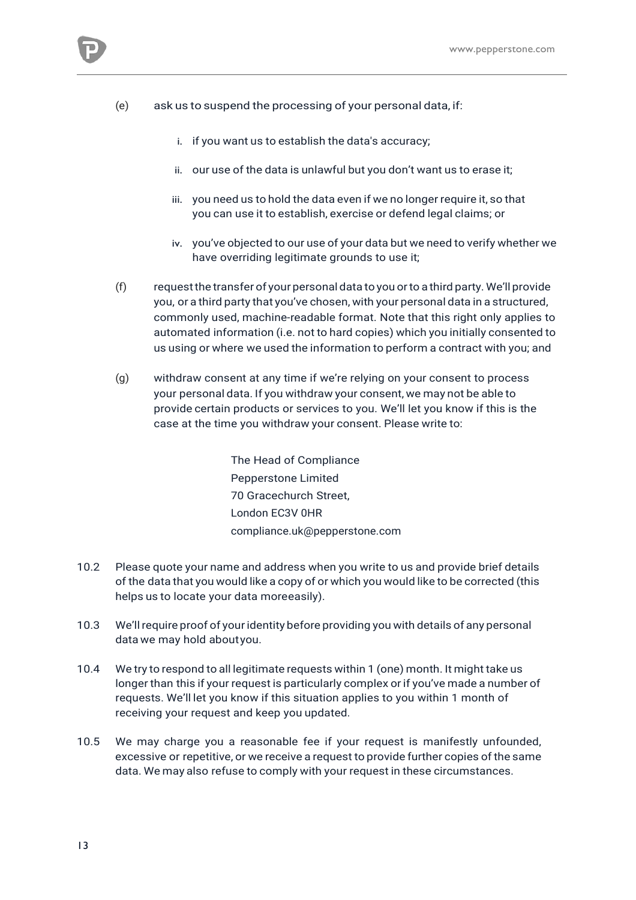

- i. if you want us to establish the data's accuracy;
- ii. our use of the data is unlawful but you don't want us to erase it;
- iii. you need us to hold the data even if we no longer require it, so that you can use it to establish, exercise or defend legal claims; or
- iv. you've objected to our use of your data but we need to verify whether we have overriding legitimate grounds to use it;
- (f) requestthe transfer of your personal data to you orto a third party. We'll provide you, or a third party that you've chosen, with your personal data in a structured, commonly used, machine-readable format. Note that this right only applies to automated information (i.e. not to hard copies) which you initially consented to us using or where we used the information to perform a contract with you; and
- (g) withdraw consent at any time if we're relying on your consent to process your personal data. If you withdraw your consent, we may not be able to provide certain products or services to you. We'll let you know if this is the case at the time you withdraw your consent. Please write to:

The Head of Compliance Pepperstone Limited 70 Gracechurch Street, London EC3V 0HR [compliance.uk@pepperstone.com](mailto:compliance.uk@pepperstone.com)

- 10.2 Please quote your name and address when you write to us and provide brief details of the data that you would like a copy of or which you would like to be corrected (this helps us to locate your data moreeasily).
- 10.3 We'llrequire proof of youridentity before providing you with details of any personal data we may hold aboutyou.
- 10.4 We try to respond to all legitimate requests within 1 (one) month. It might take us longer than this if your request is particularly complex or if you've made a number of requests. We'll let you know if this situation applies to you within 1 month of receiving your request and keep you updated.
- 10.5 We may charge you a reasonable fee if your request is manifestly unfounded, excessive or repetitive, or we receive a request to provide further copies of the same data. We may also refuse to comply with your request in these circumstances.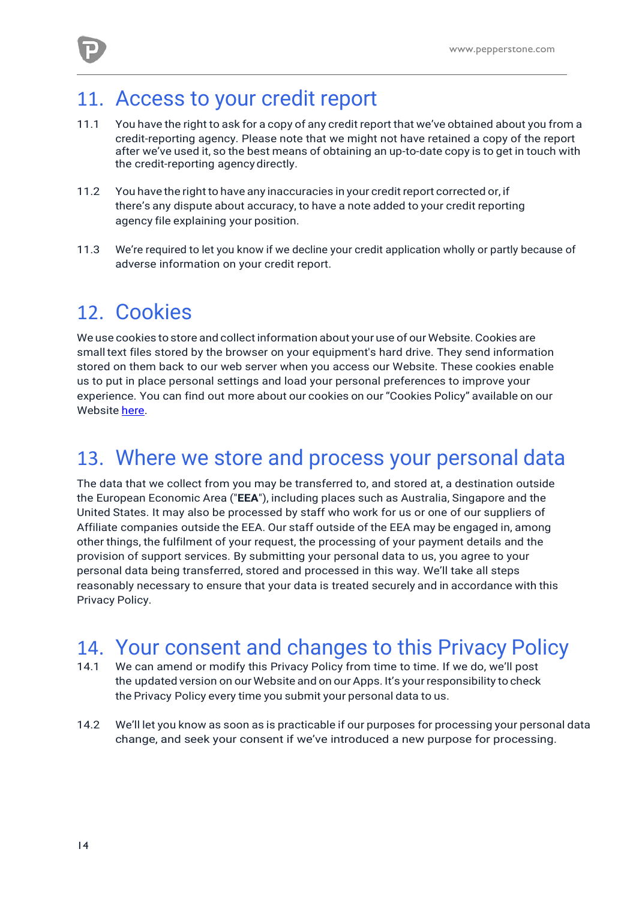

#### 11. Access to your credit report

- 11.1 You have the right to ask for a copy of any credit report that we've obtained about you from a credit-reporting agency. Please note that we might not have retained a copy of the report after we've used it, so the best means of obtaining an up-to-date copy is to get in touch with the credit-reporting agency directly.
- 11.2 You have the rightto have any inaccuracies in your credit report corrected or, if there's any dispute about accuracy, to have a note added to your credit reporting agency file explaining your position.
- 11.3 We're required to let you know if we decline your credit application wholly or partly because of adverse information on your credit report.

#### 12. Cookies

We use cookies to store and collect information about your use of our Website. Cookies are small text files stored by the browser on your equipment's hard drive. They send information stored on them back to our web server when you access our Website. These cookies enable us to put in place personal settings and load your personal preferences to improve your experience. You can find out more about our cookies on our "Cookies Policy" available on our Website [here.](https://pepperstone.com/uk/company-profile/legal-documentation)

#### 13. Where we store and process your personal data

The data that we collect from you may be transferred to, and stored at, a destination outside the European Economic Area ("**EEA**"), including places such as Australia, Singapore and the United States. It may also be processed by staff who work for us or one of our suppliers of Affiliate companies outside the EEA. Our staff outside of the EEA may be engaged in, among other things, the fulfilment of your request, the processing of your payment details and the provision of support services. By submitting your personal data to us, you agree to your personal data being transferred, stored and processed in this way. We'll take all steps reasonably necessary to ensure that your data is treated securely and in accordance with this Privacy Policy.

# 14. Your consent and changes to this Privacy Policy<br>14.1 We can amend or modify this Privacy Policy from time to time. If we do, we'll post

- We can amend or modify this Privacy Policy from time to time. If we do, we'll post the updated version on our Website and on our Apps. It's your responsibility to check the Privacy Policy every time you submit your personal data to us.
- 14.2 We'll let you know as soon as is practicable if our purposes for processing your personal data change, and seek your consent if we've introduced a new purpose for processing.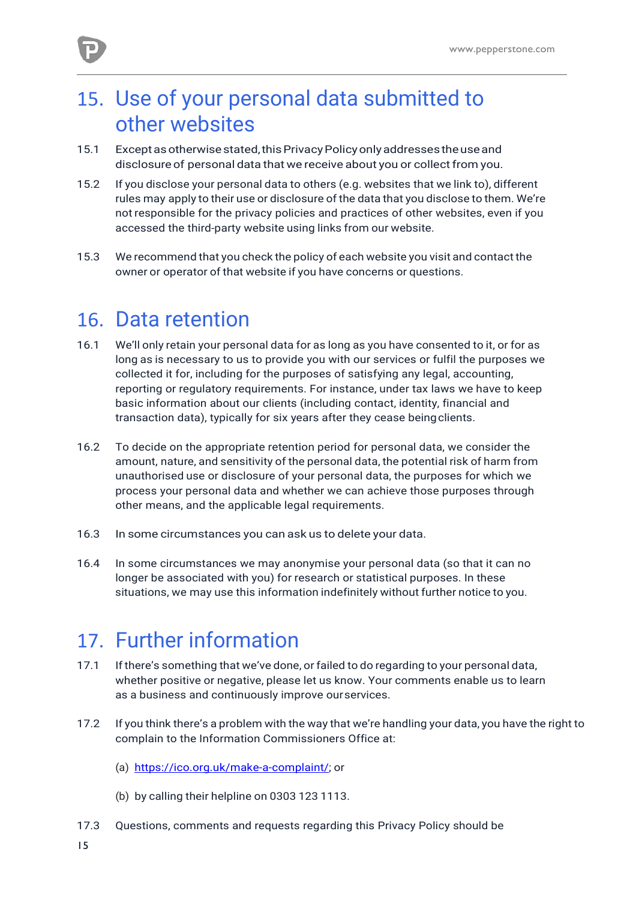

## 15. Use of your personal data submitted to other websites

- 15.1 Exceptasotherwisestated,thisPrivacyPolicyonlyaddressestheuseand disclosure of personal data that we receive about you or collect from you.
- 15.2 If you disclose your personal data to others (e.g. websites that we link to), different rules may apply to their use or disclosure of the data that you disclose to them. We're not responsible for the privacy policies and practices of other websites, even if you accessed the third-party website using links from our website.
- 15.3 We recommend that you check the policy of each website you visit and contact the owner or operator of that website if you have concerns or questions.

#### 16. Data retention

- 16.1 We'll only retain your personal data for as long as you have consented to it, or for as long as is necessary to us to provide you with our services or fulfil the purposes we collected it for, including for the purposes of satisfying any legal, accounting, reporting or regulatory requirements. For instance, under tax laws we have to keep basic information about our clients (including contact, identity, financial and transaction data), typically for six years after they cease beingclients.
- 16.2 To decide on the appropriate retention period for personal data, we consider the amount, nature, and sensitivity of the personal data, the potential risk of harm from unauthorised use or disclosure of your personal data, the purposes for which we process your personal data and whether we can achieve those purposes through other means, and the applicable legal requirements.
- 16.3 In some circumstances you can ask us to delete your data.
- 16.4 In some circumstances we may anonymise your personal data (so that it can no longer be associated with you) for research or statistical purposes. In these situations, we may use this information indefinitely without further notice to you.

## 17. Further information

- 17.1 If there's something that we've done, or failed to do regarding to your personal data, whether positive or negative, please let us know. Your comments enable us to learn as a business and continuously improve ourservices.
- 17.2 If you think there's a problem with the way that we're handling your data, you have the right to complain to the Information Commissioners Office at:
	- (a) [https://ico.org.uk/make-a-complaint/;](https://ico.org.uk/make-a-complaint/) or
	- (b) by calling their helpline on 0303 123 1113.
- 17.3 Questions, comments and requests regarding this Privacy Policy should be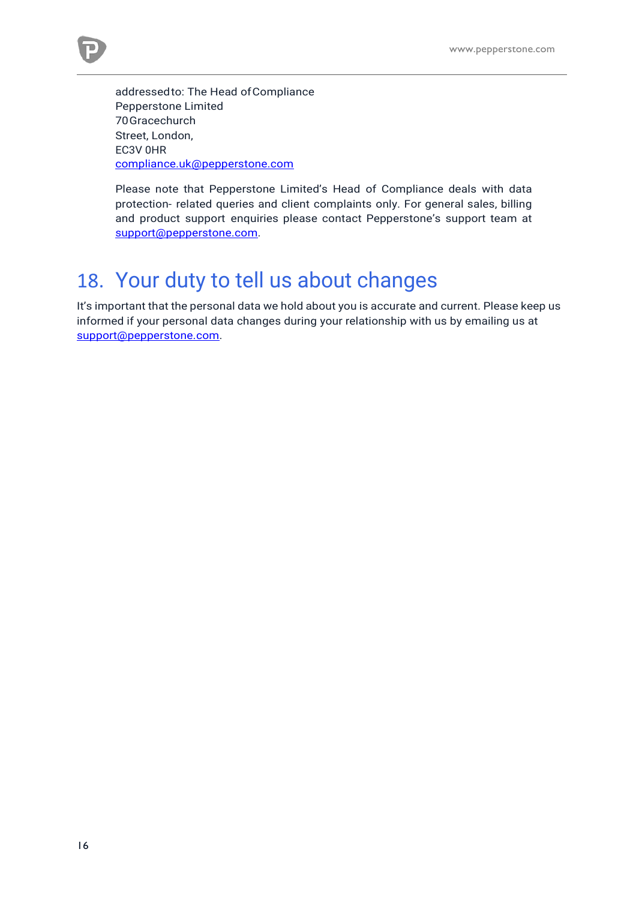

addressedto: The Head ofCompliance Pepperstone Limited 70Gracechurch Street, London, EC3V 0HR [compliance.uk@pepperstone.com](mailto:compliance.uk@pepperstone.com)

Please note that Pepperstone Limited's Head of Compliance deals with data protection- related queries and client complaints only. For general sales, billing and product support enquiries please contact Pepperstone's support team at [support@pepperstone.com.](mailto:support@pepperstone.com)

#### 18. Your duty to tell us about changes

It's important that the personal data we hold about you is accurate and current. Please keep us informed if your personal data changes during your relationship with us by emailing us at [support@pepperstone.com.](mailto:support@pepperstone.com)